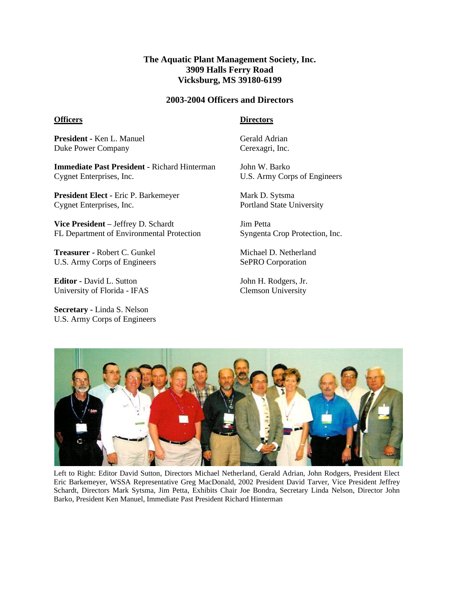## **The Aquatic Plant Management Society, Inc. 3909 Halls Ferry Road Vicksburg, MS 39180-6199**

## **2003-2004 Officers and Directors**

#### **Officers**

### **Directors**

**President -** Ken L. Manuel Duke Power Company

**Immediate Past President -** Richard Hinterman Cygnet Enterprises, Inc.

**President Elect -** Eric P. Barkemeyer Cygnet Enterprises, Inc.

**Vice President –** Jeffrey D. Schardt FL Department of Environmental Protection

**Treasurer -** Robert C. Gunkel U.S. Army Corps of Engineers

**Editor -** David L. Sutton University of Florida - IFAS

**Secretary -** Linda S. Nelson U.S. Army Corps of Engineers Gerald Adrian Cerexagri, Inc.

John W. Barko U.S. Army Corps of Engineers

Mark D. Sytsma Portland State University

Jim Petta Syngenta Crop Protection, Inc.

Michael D. Netherland SePRO Corporation

John H. Rodgers, Jr. Clemson University



Left to Right: Editor David Sutton, Directors Michael Netherland, Gerald Adrian, John Rodgers, President Elect Eric Barkemeyer, WSSA Representative Greg MacDonald, 2002 President David Tarver, Vice President Jeffrey Schardt, Directors Mark Sytsma, Jim Petta, Exhibits Chair Joe Bondra, Secretary Linda Nelson, Director John Barko, President Ken Manuel, Immediate Past President Richard Hinterman